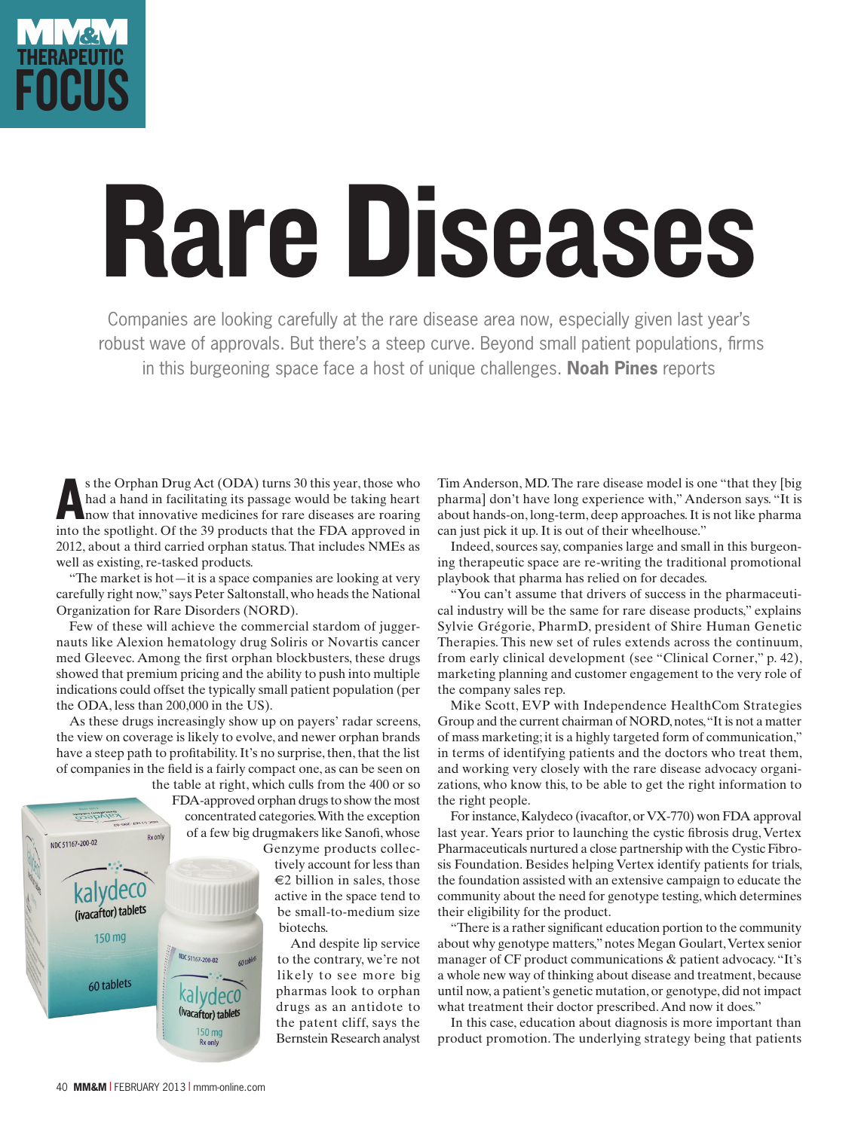

## Rare Diseases

Companies are looking carefully at the rare disease area now, especially given last year's robust wave of approvals. But there's a steep curve. Beyond small patient populations, firms in this burgeoning space face a host of unique challenges. **Noah Pines** reports

s the Orphan Drug Act (ODA) turns 30 this year, those who had a hand in facilitating its passage would be taking heart now that innovative medicines for rare diseases are roaring into the spotlight. Of the 39 products that s the Orphan Drug Act (ODA) turns 30 this year, those who had a hand in facilitating its passage would be taking heart now that innovative medicines for rare diseases are roaring 2012, about a third carried orphan status. That includes NMEs as well as existing, re-tasked products.

"The market is hot—it is a space companies are looking at very carefully right now," says Peter Saltonstall, who heads the National Organization for Rare Disorders (NORD).

Few of these will achieve the commercial stardom of juggernauts like Alexion hematology drug Soliris or Novartis cancer med Gleevec. Among the first orphan blockbusters, these drugs showed that premium pricing and the ability to push into multiple indications could offset the typically small patient population (per the ODA, less than 200,000 in the US).

As these drugs increasingly show up on payers' radar screens, the view on coverage is likely to evolve, and newer orphan brands have a steep path to profitability. It's no surprise, then, that the list of companies in the field is a fairly compact one, as can be seen on the table at right, which culls from the 400 or so



150 mg **Rx** only

FDA-approved orphan drugs to show the most concentrated categories. With the exception of a few big drugmakers like Sanofi, whose

Genzyme products collectively account for less than  $\in$ 2 billion in sales, those active in the space tend to be small-to-medium size biotechs.

And despite lip service to the contrary, we're not likely to see more big pharmas look to orphan drugs as an antidote to the patent cliff, says the Bernstein Research analyst Tim Anderson, MD. The rare disease model is one "that they [big pharma] don't have long experience with," Anderson says. "It is about hands-on, long-term, deep approaches. It is not like pharma can just pick it up. It is out of their wheelhouse."

Indeed, sources say, companies large and small in this burgeoning therapeutic space are re-writing the traditional promotional playbook that pharma has relied on for decades.

"You can't assume that drivers of success in the pharmaceutical industry will be the same for rare disease products," explains Sylvie Grégorie, PharmD, president of Shire Human Genetic Therapies. This new set of rules extends across the continuum, from early clinical development (see "Clinical Corner," p. 42), marketing planning and customer engagement to the very role of the company sales rep.

Mike Scott, EVP with Independence HealthCom Strategies Group and the current chairman of NORD, notes, "It is not a matter of mass marketing; it is a highly targeted form of communication," in terms of identifying patients and the doctors who treat them, and working very closely with the rare disease advocacy organizations, who know this, to be able to get the right information to the right people.

For instance, Kalydeco (ivacaftor, or VX-770) won FDA approval last year. Years prior to launching the cystic fibrosis drug, Vertex Pharmaceuticals nurtured a close partnership with the Cystic Fibrosis Foundation. Besides helping Vertex identify patients for trials, the foundation assisted with an extensive campaign to educate the community about the need for genotype testing, which determines their eligibility for the product.

"There is a rather significant education portion to the community about why genotype matters," notes Megan Goulart, Vertex senior manager of CF product communications & patient advocacy. "It's a whole new way of thinking about disease and treatment, because until now, a patient's genetic mutation, or genotype, did not impact what treatment their doctor prescribed. And now it does."

In this case, education about diagnosis is more important than product promotion. The underlying strategy being that patients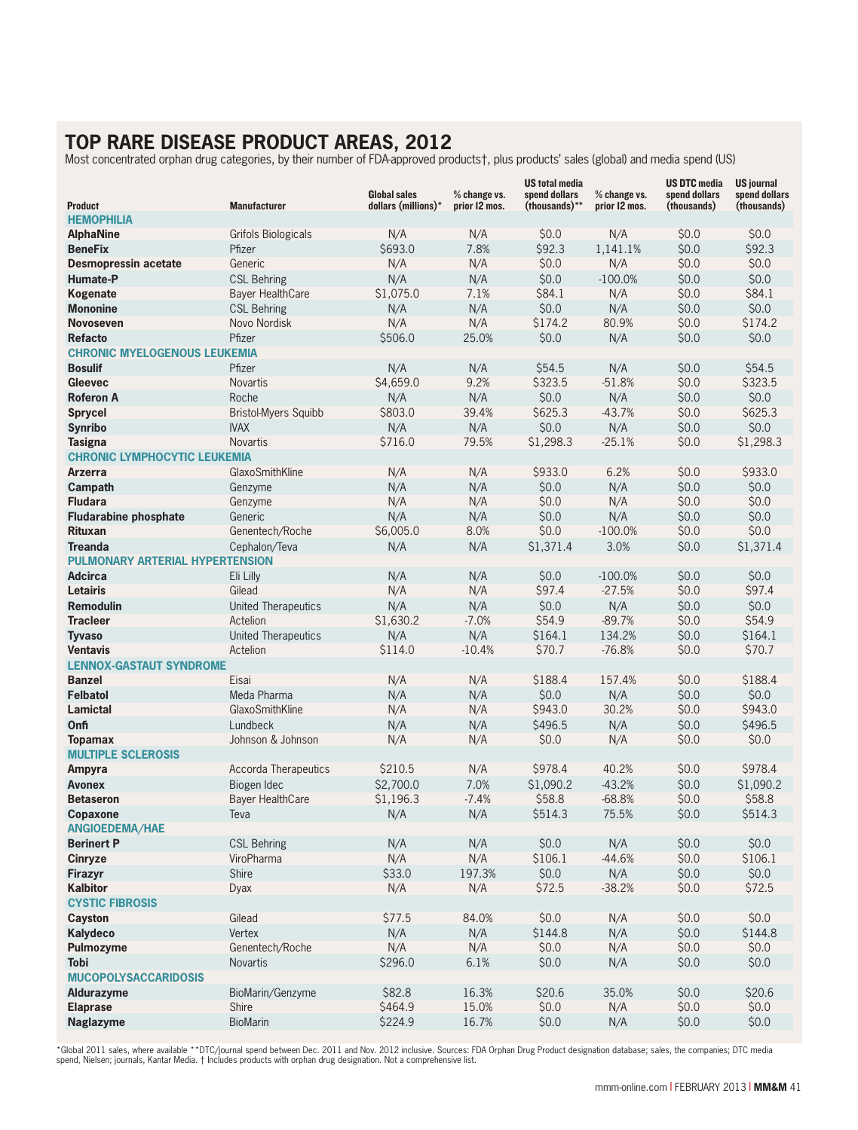## **TOP RARE DISEASE PRODUCT AREAS, 2012 DISEASE PRODUCT**

|                                        |                             | <b>Global sales</b> | % change vs.  | <b>US total media</b><br>spend dollars | % change vs.  | <b>US DTC media</b><br>spend dollars | <b>US journal</b><br>spend dollars |
|----------------------------------------|-----------------------------|---------------------|---------------|----------------------------------------|---------------|--------------------------------------|------------------------------------|
| <b>Product</b>                         | <b>Manufacturer</b>         | dollars (millions)* | prior 12 mos. | (thousands)**                          | prior 12 mos. | (thousands)                          | (thousands)                        |
| <b>HEMOPHILIA</b>                      |                             |                     |               |                                        |               |                                      |                                    |
| <b>AlphaNine</b>                       | <b>Grifols Biologicals</b>  | N/A                 | N/A           | \$0.0                                  | N/A           | \$0.0                                | \$0.0                              |
| <b>BeneFix</b>                         | Pfizer                      | \$693.0             | 7.8%          | \$92.3                                 | 1,141.1%      | \$0.0                                | \$92.3                             |
| Desmopressin acetate                   | Generic                     | N/A                 | N/A           | \$0.0                                  | N/A           | \$0.0                                | \$0.0                              |
| Humate-P                               | <b>CSL Behring</b>          | N/A                 | N/A           | \$0.0                                  | $-100.0%$     | \$0.0                                | \$0.0                              |
| Kogenate                               | Bayer HealthCare            | \$1,075.0           | 7.1%          | \$84.1                                 | N/A           | \$0.0                                | \$84.1                             |
| <b>Mononine</b>                        | <b>CSL Behring</b>          | N/A                 | N/A           | \$0.0\$                                | N/A           | \$0.0                                | \$0.0\$                            |
| <b>Novoseven</b>                       | Novo Nordisk                | N/A                 | N/A           | \$174.2                                | 80.9%         | \$0.0                                | \$174.2                            |
| <b>Refacto</b>                         | Pfizer                      | \$506.0             | 25.0%         | \$0.0                                  | N/A           | \$0.0                                | \$0.0                              |
| <b>CHRONIC MYELOGENOUS LEUKEMIA</b>    |                             |                     |               |                                        |               |                                      |                                    |
| <b>Bosulif</b>                         | Pfizer                      | N/A                 | N/A           | \$54.5                                 | N/A           | \$0.0                                | \$54.5                             |
| <b>Gleevec</b>                         | <b>Novartis</b>             | \$4,659.0           | 9.2%          | \$323.5                                | $-51.8%$      | \$0.0                                | \$323.5                            |
| <b>Roferon A</b>                       | Roche                       | N/A                 | N/A           | \$0.0                                  | N/A           | \$0.0                                | \$0.0                              |
| <b>Sprycel</b>                         | <b>Bristol-Myers Squibb</b> | \$803.0             | 39.4%         | \$625.3                                | $-43.7%$      | \$0.0                                | \$625.3                            |
| <b>Synribo</b>                         | <b>IVAX</b>                 | N/A                 | N/A           | \$0.0                                  | N/A           | \$0.0                                | \$0.0                              |
| <b>Tasigna</b>                         | <b>Novartis</b>             | \$716.0             | 79.5%         | \$1,298.3                              | $-25.1%$      | \$0.0                                | \$1,298.3                          |
| <b>CHRONIC LYMPHOCYTIC LEUKEMIA</b>    |                             |                     |               |                                        |               |                                      |                                    |
| <b>Arzerra</b>                         | GlaxoSmithKline             | N/A                 | N/A           | \$933.0                                | 6.2%          | \$0.0                                | \$933.0                            |
| Campath                                | Genzyme                     | N/A                 | N/A           | \$0.0                                  | N/A           | \$0.0                                | \$0.0                              |
| <b>Fludara</b>                         | Genzyme                     | N/A                 | N/A           | \$0.0                                  | N/A           | \$0.0                                | \$0.0                              |
| <b>Fludarabine phosphate</b>           | Generic                     | N/A                 | N/A           | \$0.0                                  | N/A           | \$0.0                                | \$0.0                              |
| <b>Rituxan</b>                         | Genentech/Roche             | \$6,005.0           | 8.0%          | \$0.0                                  | $-100.0%$     | \$0.0                                | \$0.0                              |
| <b>Treanda</b>                         | Cephalon/Teva               | N/A                 | N/A           | \$1,371.4                              | 3.0%          | \$0.0                                | \$1,371.4                          |
| <b>PULMONARY ARTERIAL HYPERTENSION</b> |                             |                     |               |                                        |               |                                      |                                    |
| <b>Adcirca</b>                         | Eli Lilly                   | N/A                 | N/A           | \$0.0                                  | $-100.0%$     | \$0.0                                | \$0.0                              |
| <b>Letairis</b>                        | Gilead                      | N/A                 | N/A           | \$97.4                                 | $-27.5%$      | \$0.0                                | \$97.4                             |
| <b>Remodulin</b>                       | United Therapeutics         | N/A                 | N/A           | \$0.0                                  | N/A           | \$0.0                                | \$0.0                              |
| <b>Tracleer</b>                        | Actelion                    | \$1,630.2           | $-7.0%$       | \$54.9                                 | $-89.7%$      | \$0.0                                | \$54.9                             |
| <b>Tyvaso</b>                          | United Therapeutics         | N/A                 | N/A           | \$164.1                                | 134.2%        | \$0.0                                | \$164.1                            |
| <b>Ventavis</b>                        | Actelion                    | \$114.0             | $-10.4%$      | \$70.7                                 | $-76.8%$      | \$0.0                                | \$70.7                             |
| <b>LENNOX-GASTAUT SYNDROME</b>         |                             |                     |               |                                        |               |                                      |                                    |
| <b>Banzel</b>                          | Eisai                       | N/A                 | N/A           | \$188.4                                | 157.4%        | \$0.0                                | \$188.4                            |
| <b>Felbatol</b>                        | Meda Pharma                 | N/A                 | N/A           | \$0.0\$                                | N/A           | \$0.0                                | \$0.0                              |
| <b>Lamictal</b>                        | GlaxoSmithKline             | N/A                 | N/A           | \$943.0                                | 30.2%         | \$0.0                                | \$943.0                            |
| Onfi                                   | Lundbeck                    | N/A                 | N/A           | \$496.5                                | N/A           | \$0.0                                | \$496.5                            |
| <b>Topamax</b>                         | Johnson & Johnson           | N/A                 | N/A           | \$0.0                                  | N/A           | \$0.0                                | \$0.0                              |
| <b>MULTIPLE SCLEROSIS</b>              |                             |                     |               |                                        |               |                                      |                                    |
| Ampyra                                 | <b>Accorda Therapeutics</b> | \$210.5             | N/A           | \$978.4                                | 40.2%         | \$0.0                                | \$978.4                            |
| <b>Avonex</b>                          | Biogen Idec                 | \$2,700.0           | 7.0%          | \$1,090.2                              | $-43.2%$      | \$0.0\$                              | \$1,090.2                          |
| <b>Betaseron</b>                       | Bayer HealthCare            | \$1,196.3           | $-7.4%$       | \$58.8                                 | $-68.8%$      | \$0.0                                | \$58.8                             |
| Copaxone                               | Teva                        | N/A                 | N/A           | \$514.3                                | 75.5%         | \$0.0                                | \$514.3                            |
| ANGIOEDEMA/HAE                         |                             |                     |               |                                        |               |                                      |                                    |
| <b>Berinert P</b>                      | <b>CSL Behring</b>          | N/A                 | N/A           | \$0.0                                  | N/A           | \$0.0                                | \$0.0                              |
| Cinryze                                | ViroPharma                  | N/A                 | N/A           | \$106.1                                | $-44.6%$      | \$0.0                                | \$106.1                            |
| Firazyr                                | Shire                       | \$33.0              | 197.3%        | \$0.0                                  | N/A           | \$0.0\$                              | \$0.0\$                            |
| <b>Kalbitor</b>                        | Dyax                        | N/A                 | N/A           | \$72.5                                 | $-38.2%$      | \$0.0                                | \$72.5                             |
| <b>CYSTIC FIBROSIS</b>                 |                             |                     |               |                                        |               |                                      |                                    |
| Cayston                                | Gilead                      | \$77.5              | 84.0%         | \$0.0                                  | N/A           | \$0.0                                | \$0.0                              |
| Kalydeco                               | Vertex                      | N/A                 | N/A           | \$144.8                                | N/A           | \$0.0                                | \$144.8                            |
| Pulmozyme                              | Genentech/Roche             | N/A                 | N/A           | \$0.0                                  | N/A           | \$0.0                                | \$0.0\$                            |
| <b>Tobi</b>                            | Novartis                    | \$296.0             | 6.1%          | \$0.0                                  | N/A           | \$0.0                                | \$0.0                              |
| <b>MUCOPOLYSACCARIDOSIS</b>            |                             |                     |               |                                        |               |                                      |                                    |
| Aldurazyme                             | BioMarin/Genzyme            | \$82.8              | 16.3%         | \$20.6                                 | 35.0%         | \$0.0                                | \$20.6                             |
| <b>Elaprase</b>                        | Shire                       | \$464.9             | 15.0%         | \$0.0                                  | N/A           | \$0.0                                | \$0.0                              |
| Naglazyme                              | <b>BioMarin</b>             | \$224.9             | 16.7%         | \$0.0                                  | N/A           | \$0.0\$                              | \$0.0                              |
|                                        |                             |                     |               |                                        |               |                                      |                                    |

\*Global 2011 sales, where available \*\*DTC/journal spend between Dec. 2011 and Nov. 2012 inclusive. Sources: FDA Orphan Drug Product designation database; sales, the companies; DTC media<br>spend, Nielsen; journals, Kantar Med